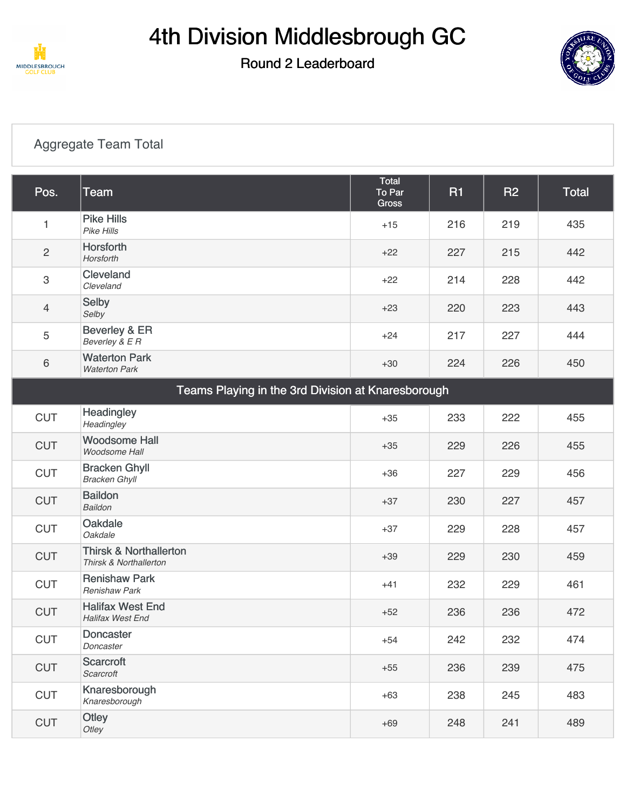

# 4th Division Middlesbrough GC

### Round 2 Leaderboard



#### [Aggregate Team Total](https://cdn2.golfgenius.com/v2tournaments/7027100361060023110?called_from=&round_index=2)

| Pos.                                               | <b>Team</b>                                                 | Total<br>To Par<br>Gross | <b>R1</b> | <b>R2</b> | <b>Total</b> |
|----------------------------------------------------|-------------------------------------------------------------|--------------------------|-----------|-----------|--------------|
| 1                                                  | <b>Pike Hills</b><br>Pike Hills                             | $+15$                    | 216       | 219       | 435          |
| $\sqrt{2}$                                         | Horsforth<br>Horsforth                                      | $+22$                    | 227       | 215       | 442          |
| $\sqrt{3}$                                         | Cleveland<br>Cleveland                                      | $+22$                    | 214       | 228       | 442          |
| $\overline{4}$                                     | Selby<br>Selby                                              | $+23$                    | 220       | 223       | 443          |
| 5                                                  | Beverley & ER<br>Beverley & E R                             | $+24$                    | 217       | 227       | 444          |
| $6\,$                                              | <b>Waterton Park</b><br><b>Waterton Park</b>                | $+30$                    | 224       | 226       | 450          |
| Teams Playing in the 3rd Division at Knaresborough |                                                             |                          |           |           |              |
| <b>CUT</b>                                         | Headingley<br>Headingley                                    | $+35$                    | 233       | 222       | 455          |
| <b>CUT</b>                                         | <b>Woodsome Hall</b><br>Woodsome Hall                       | $+35$                    | 229       | 226       | 455          |
| <b>CUT</b>                                         | <b>Bracken Ghyll</b><br><b>Bracken Ghyll</b>                | $+36$                    | 227       | 229       | 456          |
| <b>CUT</b>                                         | <b>Baildon</b><br>Baildon                                   | $+37$                    | 230       | 227       | 457          |
| <b>CUT</b>                                         | Oakdale<br>Oakdale                                          | $+37$                    | 229       | 228       | 457          |
| <b>CUT</b>                                         | <b>Thirsk &amp; Northallerton</b><br>Thirsk & Northallerton | $+39$                    | 229       | 230       | 459          |
| <b>CUT</b>                                         | <b>Renishaw Park</b><br><b>Renishaw Park</b>                | $+41$                    | 232       | 229       | 461          |
| <b>CUT</b>                                         | <b>Halifax West End</b><br><b>Halifax West End</b>          | $+52$                    | 236       | 236       | 472          |
| <b>CUT</b>                                         | Doncaster<br>Doncaster                                      | $+54$                    | 242       | 232       | 474          |
| <b>CUT</b>                                         | Scarcroft<br>Scarcroft                                      | $+55$                    | 236       | 239       | 475          |
| <b>CUT</b>                                         | Knaresborough<br>Knaresborough                              | $+63$                    | 238       | 245       | 483          |
| <b>CUT</b>                                         | Otley<br>Otley                                              | $+69$                    | 248       | 241       | 489          |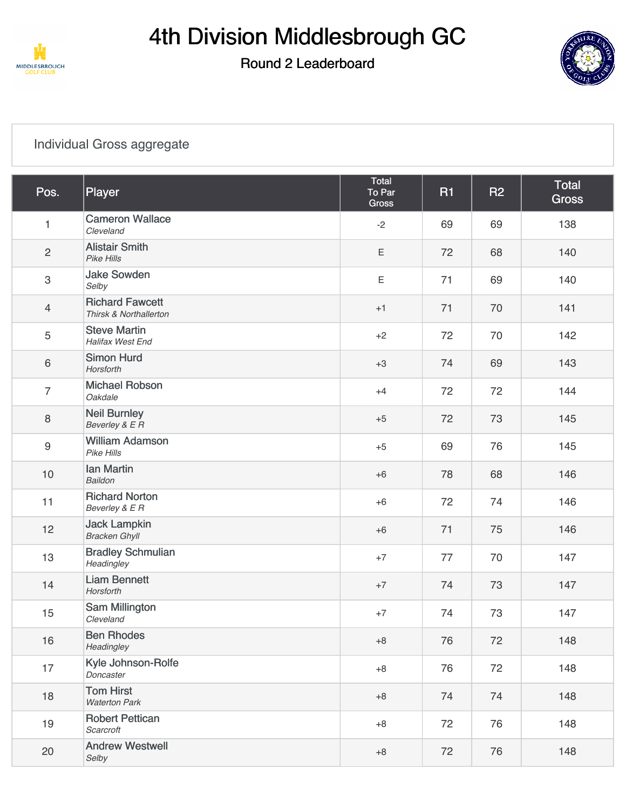

## Round 2 Leaderboard



#### [Individual Gross aggregate](https://cdn2.golfgenius.com/v2tournaments/7027100379212970825?called_from=&round_index=2)

| Pos.             | Player                                           | Total<br>To Par<br><b>Gross</b> | <b>R1</b> | <b>R2</b> | <b>Total</b><br><b>Gross</b> |
|------------------|--------------------------------------------------|---------------------------------|-----------|-----------|------------------------------|
| $\mathbf{1}$     | <b>Cameron Wallace</b><br>Cleveland              | $-2$                            | 69        | 69        | 138                          |
| $\sqrt{2}$       | <b>Alistair Smith</b><br>Pike Hills              | E                               | 72        | 68        | 140                          |
| $\mathbf{3}$     | <b>Jake Sowden</b><br>Selby                      | E                               | 71        | 69        | 140                          |
| $\overline{4}$   | <b>Richard Fawcett</b><br>Thirsk & Northallerton | $+1$                            | 71        | 70        | 141                          |
| $\sqrt{5}$       | <b>Steve Martin</b><br>Halifax West End          | $+2$                            | 72        | 70        | 142                          |
| $\,6\,$          | <b>Simon Hurd</b><br>Horsforth                   | $+3$                            | 74        | 69        | 143                          |
| $\overline{7}$   | <b>Michael Robson</b><br>Oakdale                 | $+4$                            | 72        | 72        | 144                          |
| $\, 8$           | <b>Neil Burnley</b><br>Beverley & E R            | $+5$                            | 72        | 73        | 145                          |
| $\boldsymbol{9}$ | <b>William Adamson</b><br>Pike Hills             | $+5$                            | 69        | 76        | 145                          |
| $10$             | <b>Ian Martin</b><br><b>Baildon</b>              | $+6$                            | 78        | 68        | 146                          |
| 11               | <b>Richard Norton</b><br>Beverley & E R          | $+6$                            | 72        | 74        | 146                          |
| 12               | <b>Jack Lampkin</b><br><b>Bracken Ghyll</b>      | $+6$                            | 71        | 75        | 146                          |
| 13               | <b>Bradley Schmulian</b><br>Headingley           | $+7$                            | 77        | 70        | 147                          |
| 14               | <b>Liam Bennett</b><br>Horsforth                 | $+7$                            | 74        | 73        | 147                          |
| 15               | Sam Millington<br>Cleveland                      | $+7$                            | 74        | 73        | 147                          |
| 16               | <b>Ben Rhodes</b><br>Headingley                  | $+8$                            | 76        | 72        | 148                          |
| 17               | Kyle Johnson-Rolfe<br>Doncaster                  | $+8$                            | 76        | 72        | 148                          |
| 18               | <b>Tom Hirst</b><br><b>Waterton Park</b>         | $+8$                            | 74        | 74        | 148                          |
| 19               | <b>Robert Pettican</b><br>Scarcroft              | $+8$                            | 72        | 76        | 148                          |
| 20               | <b>Andrew Westwell</b><br>Selby                  | $+8$                            | 72        | 76        | 148                          |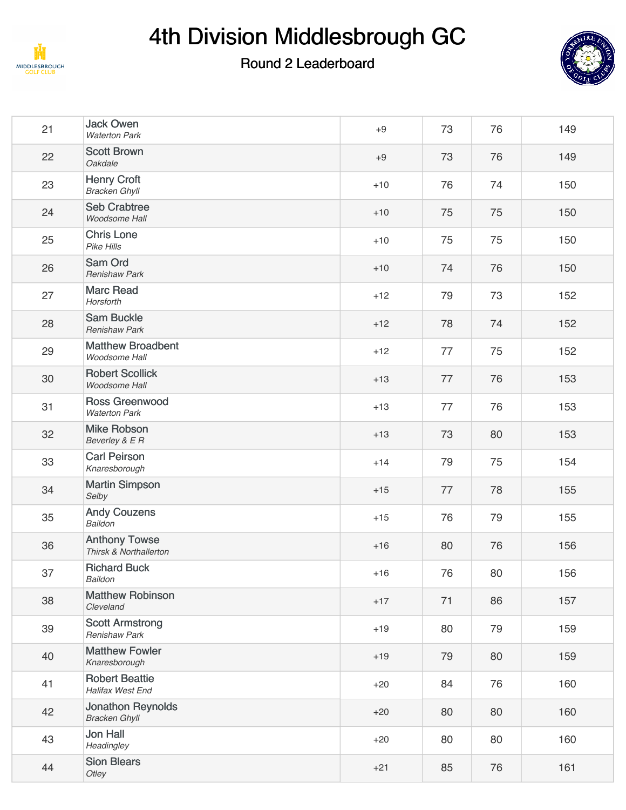

## 4th Division Middlesbrough GC

### Round 2 Leaderboard



| 21 | <b>Jack Owen</b><br><b>Waterton Park</b>         | $+9$  | 73 | 76 | 149 |
|----|--------------------------------------------------|-------|----|----|-----|
| 22 | <b>Scott Brown</b><br>Oakdale                    | $+9$  | 73 | 76 | 149 |
| 23 | <b>Henry Croft</b><br><b>Bracken Ghyll</b>       | $+10$ | 76 | 74 | 150 |
| 24 | <b>Seb Crabtree</b><br>Woodsome Hall             | $+10$ | 75 | 75 | 150 |
| 25 | <b>Chris Lone</b><br>Pike Hills                  | $+10$ | 75 | 75 | 150 |
| 26 | Sam Ord<br><b>Renishaw Park</b>                  | $+10$ | 74 | 76 | 150 |
| 27 | <b>Marc Read</b><br>Horsforth                    | $+12$ | 79 | 73 | 152 |
| 28 | <b>Sam Buckle</b><br><b>Renishaw Park</b>        | $+12$ | 78 | 74 | 152 |
| 29 | <b>Matthew Broadbent</b><br>Woodsome Hall        | $+12$ | 77 | 75 | 152 |
| 30 | <b>Robert Scollick</b><br>Woodsome Hall          | $+13$ | 77 | 76 | 153 |
| 31 | <b>Ross Greenwood</b><br><b>Waterton Park</b>    | $+13$ | 77 | 76 | 153 |
| 32 | <b>Mike Robson</b><br>Beverley & E R             | $+13$ | 73 | 80 | 153 |
| 33 | <b>Carl Peirson</b><br>Knaresborough             | $+14$ | 79 | 75 | 154 |
| 34 | <b>Martin Simpson</b><br>Selby                   | $+15$ | 77 | 78 | 155 |
| 35 | <b>Andy Couzens</b><br>Baildon                   | $+15$ | 76 | 79 | 155 |
| 36 | <b>Anthony Towse</b><br>Thirsk & Northallerton   | $+16$ | 80 | 76 | 156 |
| 37 | <b>Richard Buck</b><br>Baildon                   | $+16$ | 76 | 80 | 156 |
| 38 | <b>Matthew Robinson</b><br>Cleveland             | $+17$ | 71 | 86 | 157 |
| 39 | <b>Scott Armstrong</b><br><b>Renishaw Park</b>   | $+19$ | 80 | 79 | 159 |
| 40 | <b>Matthew Fowler</b><br>Knaresborough           | $+19$ | 79 | 80 | 159 |
| 41 | <b>Robert Beattie</b><br>Halifax West End        | $+20$ | 84 | 76 | 160 |
| 42 | <b>Jonathon Reynolds</b><br><b>Bracken Ghyll</b> | $+20$ | 80 | 80 | 160 |
| 43 | <b>Jon Hall</b><br>Headingley                    | $+20$ | 80 | 80 | 160 |
| 44 | <b>Sion Blears</b><br>Otley                      | $+21$ | 85 | 76 | 161 |